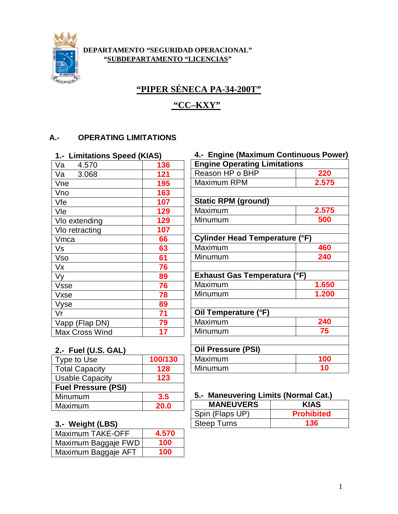

#### **DEPARTAMENTO "SEGURIDAD OPERACIONAL" "SUBDEPARTAMENTO "LICENCIAS"**

# **"PIPER SÉNECA PA-34-200T"**

## **"CC–KXY"**

## **A.- OPERATING LIMITATIONS**

| 1.- Limitations Speed (KIAS) |     |
|------------------------------|-----|
| Va<br>4.570                  | 136 |
| 3.068<br>Va                  | 121 |
| Vne                          | 195 |
| Vno                          | 163 |
| Vfe                          | 107 |
| Vle                          | 129 |
| Vlo extending                | 129 |
| VIo retracting               | 107 |
| Vmca                         | 66  |
| Vs                           | 63  |
| Vso                          | 61  |
| Vx                           | 76  |
| Vy                           | 89  |
| <b>Vsse</b>                  | 76  |
| Vxse                         | 78  |
| Vyse                         | 89  |
| Vr                           | 71  |
| Vapp (Flap DN)               | 79  |
| <b>Max Cross Wind</b>        | 17  |

| 4.- Engine (Maximum Continuous Power) |       |
|---------------------------------------|-------|
| <b>Engine Operating Limitations</b>   |       |
| Reason HP o BHP                       | 220   |
| Maximum RPM                           | 2.575 |
|                                       |       |
| <b>Static RPM (ground)</b>            |       |
| Maximum                               | 2.575 |
| Minumum                               | 500   |
|                                       |       |
| <b>Cylinder Head Temperature (°F)</b> |       |
| Maximum                               | 460   |
| Minumum                               | 240   |
|                                       |       |
| <b>Exhaust Gas Temperatura (°F)</b>   |       |
| Maximum                               | 1.650 |
| Minumum                               | 1.200 |
|                                       |       |
| Oil Temperature (°F)                  |       |
| Maximum                               | 240   |
| Minumum                               | 75    |
|                                       |       |
| <b>Oil Pressure (PSI)</b>             |       |
| Maximum                               | 100   |

#### **2.- Fuel (U.S. GAL)**

| Type to Use                | 100/130     |
|----------------------------|-------------|
| <b>Total Capacity</b>      | 128         |
| <b>Usable Capacity</b>     | 123         |
| <b>Fuel Pressure (PSI)</b> |             |
| Minumum                    | 3.5         |
| Maximum                    | <b>20.0</b> |
|                            |             |

## **3.- Weight (LBS)**

| <b>Maximum TAKE-OFF</b> | 4.570 |
|-------------------------|-------|
| Maximum Baggaje FWD     | 100   |
| Maximum Baggaje AFT     | 100   |

## **5.- Maneuvering Limits (Normal Cat.)**

Minumum **10**

| <b>MANEUVERS</b>   | <b>KIAS</b>       |
|--------------------|-------------------|
| Spin (Flaps UP)    | <b>Prohibited</b> |
| <b>Steep Turns</b> | 136               |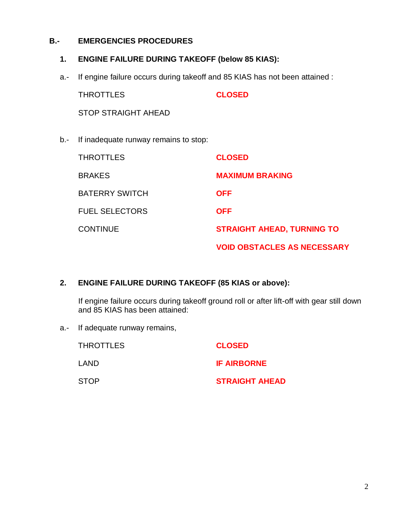#### **B.- EMERGENCIES PROCEDURES**

#### **1. ENGINE FAILURE DURING TAKEOFF (below 85 KIAS):**

a.- If engine failure occurs during takeoff and 85 KIAS has not been attained :

THROTTLES **CLOSED** STOP STRAIGHT AHEAD

b.- If inadequate runway remains to stop:

| <b>THROTTLES</b>      | <b>CLOSED</b>                      |
|-----------------------|------------------------------------|
| <b>BRAKES</b>         | <b>MAXIMUM BRAKING</b>             |
| <b>BATERRY SWITCH</b> | <b>OFF</b>                         |
| <b>FUEL SELECTORS</b> | <b>OFF</b>                         |
| <b>CONTINUE</b>       | <b>STRAIGHT AHEAD, TURNING TO</b>  |
|                       | <b>VOID OBSTACLES AS NECESSARY</b> |

#### **2. ENGINE FAILURE DURING TAKEOFF (85 KIAS or above):**

If engine failure occurs during takeoff ground roll or after lift-off with gear still down and 85 KIAS has been attained:

a.- If adequate runway remains,

| THROTTLES | <b>CLOSED</b>         |
|-----------|-----------------------|
| LAND.     | <b>IF AIRBORNE</b>    |
| STOP      | <b>STRAIGHT AHEAD</b> |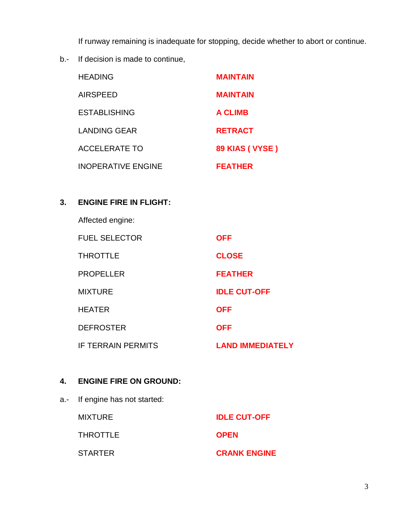If runway remaining is inadequate for stopping, decide whether to abort or continue.

b.- If decision is made to continue,

| <b>HEADING</b>            | <b>MAINTAIN</b> |
|---------------------------|-----------------|
| <b>AIRSPEED</b>           | <b>MAINTAIN</b> |
| <b>ESTABLISHING</b>       | <b>A CLIMB</b>  |
| <b>LANDING GEAR</b>       | <b>RETRACT</b>  |
| <b>ACCELERATE TO</b>      | 89 KIAS (VYSE)  |
| <b>INOPERATIVE ENGINE</b> | <b>FEATHER</b>  |

## **3. ENGINE FIRE IN FLIGHT:**

Affected engine:

| <b>FUEL SELECTOR</b>      | <b>OFF</b>              |
|---------------------------|-------------------------|
| <b>THROTTLE</b>           | <b>CLOSE</b>            |
| <b>PROPELLER</b>          | <b>FEATHER</b>          |
| <b>MIXTURE</b>            | <b>IDLE CUT-OFF</b>     |
| <b>HEATER</b>             | <b>OFF</b>              |
| <b>DEFROSTER</b>          | <b>OFF</b>              |
| <b>IF TERRAIN PERMITS</b> | <b>LAND IMMEDIATELY</b> |

## **4. ENGINE FIRE ON GROUND:**

a.- If engine has not started:

MIXTURE **IDLE CUT-OFF** THROTTLE **OPEN** STARTER **CRANK ENGINE**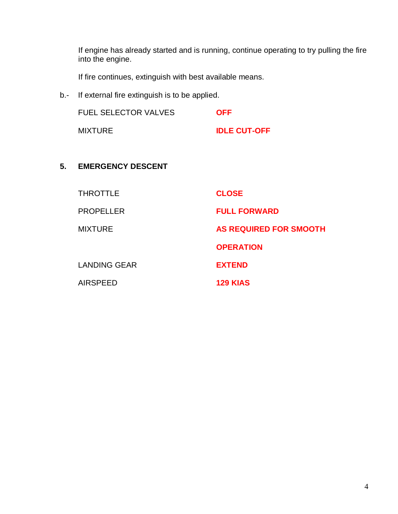If engine has already started and is running, continue operating to try pulling the fire into the engine.

If fire continues, extinguish with best available means.

b.- If external fire extinguish is to be applied.

| <b>FUEL SELECTOR VALVES</b> | <b>OFF</b>          |
|-----------------------------|---------------------|
| <b>MIXTURE</b>              | <b>IDLE CUT-OFF</b> |

### **5. EMERGENCY DESCENT**

| <b>THROTTLE</b>     | <b>CLOSE</b>                  |
|---------------------|-------------------------------|
| <b>PROPELLER</b>    | <b>FULL FORWARD</b>           |
| <b>MIXTURE</b>      | <b>AS REQUIRED FOR SMOOTH</b> |
|                     | <b>OPERATION</b>              |
| <b>LANDING GEAR</b> | <b>EXTEND</b>                 |
| <b>AIRSPEED</b>     | <b>129 KIAS</b>               |